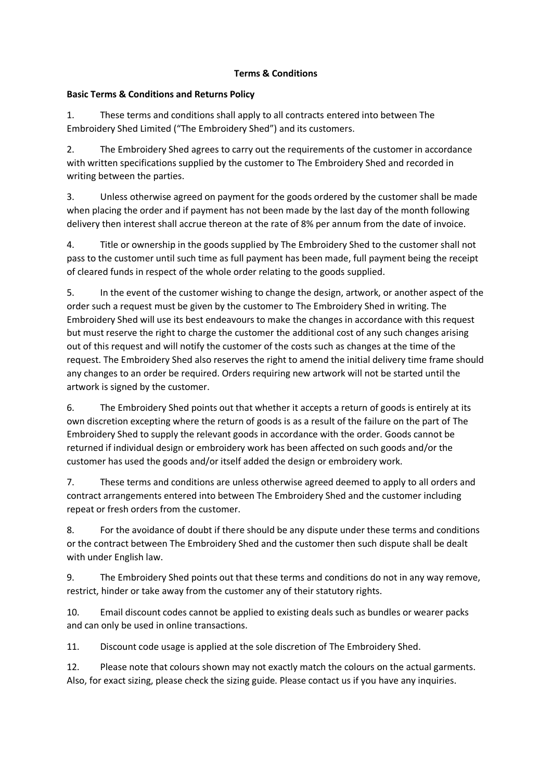## **Terms & Conditions**

## **Basic Terms & Conditions and Returns Policy**

1. These terms and conditions shall apply to all contracts entered into between The Embroidery Shed Limited ("The Embroidery Shed") and its customers.

2. The Embroidery Shed agrees to carry out the requirements of the customer in accordance with written specifications supplied by the customer to The Embroidery Shed and recorded in writing between the parties.

3. Unless otherwise agreed on payment for the goods ordered by the customer shall be made when placing the order and if payment has not been made by the last day of the month following delivery then interest shall accrue thereon at the rate of 8% per annum from the date of invoice.

4. Title or ownership in the goods supplied by The Embroidery Shed to the customer shall not pass to the customer until such time as full payment has been made, full payment being the receipt of cleared funds in respect of the whole order relating to the goods supplied.

5. In the event of the customer wishing to change the design, artwork, or another aspect of the order such a request must be given by the customer to The Embroidery Shed in writing. The Embroidery Shed will use its best endeavours to make the changes in accordance with this request but must reserve the right to charge the customer the additional cost of any such changes arising out of this request and will notify the customer of the costs such as changes at the time of the request. The Embroidery Shed also reserves the right to amend the initial delivery time frame should any changes to an order be required. Orders requiring new artwork will not be started until the artwork is signed by the customer.

6. The Embroidery Shed points out that whether it accepts a return of goods is entirely at its own discretion excepting where the return of goods is as a result of the failure on the part of The Embroidery Shed to supply the relevant goods in accordance with the order. Goods cannot be returned if individual design or embroidery work has been affected on such goods and/or the customer has used the goods and/or itself added the design or embroidery work.

7. These terms and conditions are unless otherwise agreed deemed to apply to all orders and contract arrangements entered into between The Embroidery Shed and the customer including repeat or fresh orders from the customer.

8. For the avoidance of doubt if there should be any dispute under these terms and conditions or the contract between The Embroidery Shed and the customer then such dispute shall be dealt with under English law.

9. The Embroidery Shed points out that these terms and conditions do not in any way remove, restrict, hinder or take away from the customer any of their statutory rights.

10. Email discount codes cannot be applied to existing deals such as bundles or wearer packs and can only be used in online transactions.

11. Discount code usage is applied at the sole discretion of The Embroidery Shed.

12. Please note that colours shown may not exactly match the colours on the actual garments. Also, for exact sizing, please check the sizing guide. Please contact us if you have any inquiries.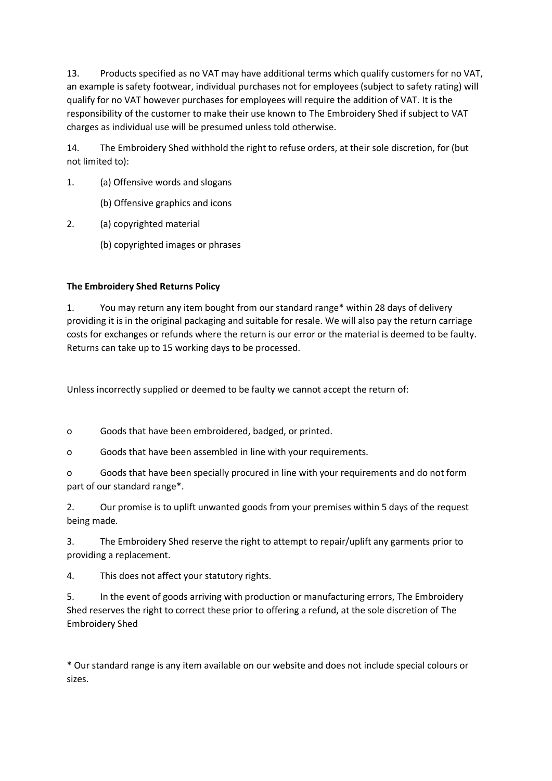13. Products specified as no VAT may have additional terms which qualify customers for no VAT, an example is safety footwear, individual purchases not for employees (subject to safety rating) will qualify for no VAT however purchases for employees will require the addition of VAT. It is the responsibility of the customer to make their use known to The Embroidery Shed if subject to VAT charges as individual use will be presumed unless told otherwise.

14. The Embroidery Shed withhold the right to refuse orders, at their sole discretion, for (but not limited to):

- 1. (a) Offensive words and slogans
	- (b) Offensive graphics and icons
- 2. (a) copyrighted material
	- (b) copyrighted images or phrases

## **The Embroidery Shed Returns Policy**

1. You may return any item bought from our standard range\* within 28 days of delivery providing it is in the original packaging and suitable for resale. We will also pay the return carriage costs for exchanges or refunds where the return is our error or the material is deemed to be faulty. Returns can take up to 15 working days to be processed.

Unless incorrectly supplied or deemed to be faulty we cannot accept the return of:

o Goods that have been embroidered, badged, or printed.

o Goods that have been assembled in line with your requirements.

o Goods that have been specially procured in line with your requirements and do not form part of our standard range\*.

2. Our promise is to uplift unwanted goods from your premises within 5 days of the request being made.

3. The Embroidery Shed reserve the right to attempt to repair/uplift any garments prior to providing a replacement.

4. This does not affect your statutory rights.

5. In the event of goods arriving with production or manufacturing errors, The Embroidery Shed reserves the right to correct these prior to offering a refund, at the sole discretion of The Embroidery Shed

\* Our standard range is any item available on our website and does not include special colours or sizes.